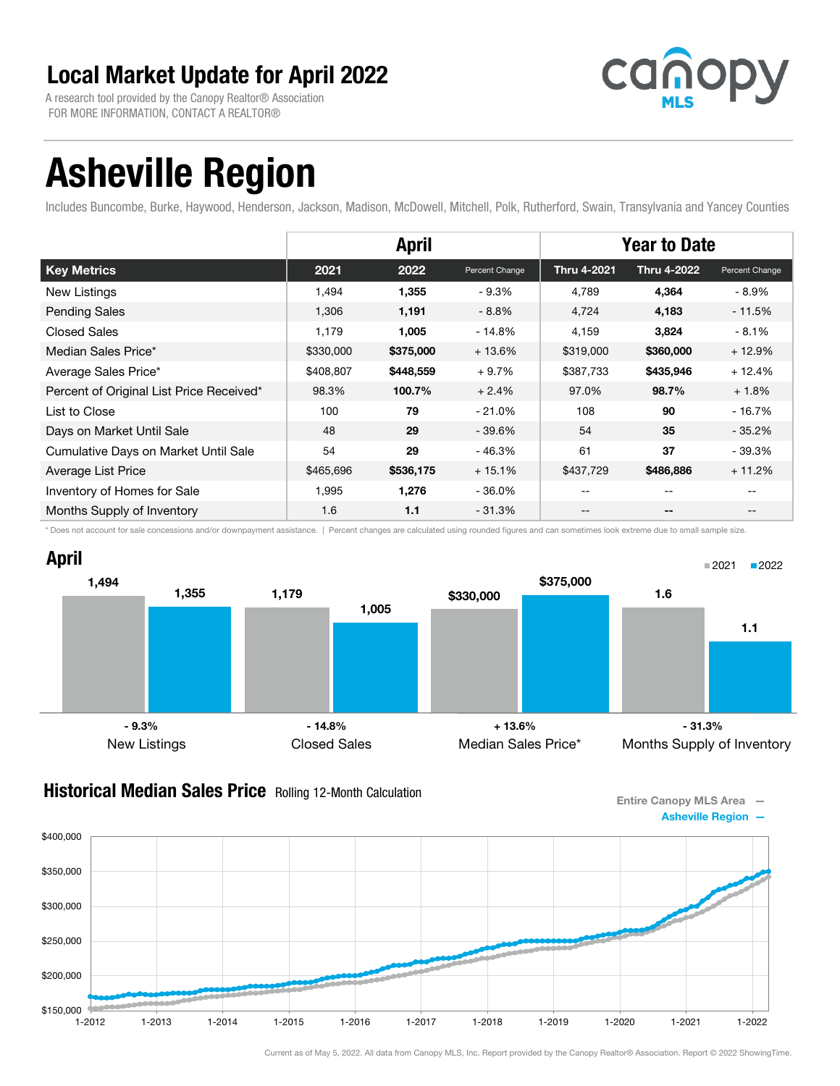A research tool provided by the Canopy Realtor® Association FOR MORE INFORMATION, CONTACT A REALTOR®



# Asheville Region

Includes Buncombe, Burke, Haywood, Henderson, Jackson, Madison, McDowell, Mitchell, Polk, Rutherford, Swain, Transylvania and Yancey Counties

|                                          | <b>April</b> |           |                | <b>Year to Date</b> |             |                |
|------------------------------------------|--------------|-----------|----------------|---------------------|-------------|----------------|
| <b>Key Metrics</b>                       | 2021         | 2022      | Percent Change | <b>Thru 4-2021</b>  | Thru 4-2022 | Percent Change |
| New Listings                             | 1,494        | 1,355     | $-9.3%$        | 4.789               | 4,364       | - 8.9%         |
| <b>Pending Sales</b>                     | 1,306        | 1,191     | $-8.8%$        | 4,724               | 4,183       | $-11.5%$       |
| <b>Closed Sales</b>                      | 1.179        | 1,005     | $-14.8%$       | 4,159               | 3,824       | $-8.1%$        |
| Median Sales Price*                      | \$330,000    | \$375,000 | $+13.6%$       | \$319,000           | \$360,000   | $+12.9%$       |
| Average Sales Price*                     | \$408,807    | \$448,559 | $+9.7%$        | \$387,733           | \$435,946   | $+12.4%$       |
| Percent of Original List Price Received* | 98.3%        | 100.7%    | $+2.4%$        | 97.0%               | 98.7%       | $+1.8%$        |
| List to Close                            | 100          | 79        | $-21.0%$       | 108                 | 90          | $-16.7%$       |
| Days on Market Until Sale                | 48           | 29        | $-39.6%$       | 54                  | 35          | $-35.2%$       |
| Cumulative Days on Market Until Sale     | 54           | 29        | $-46.3%$       | 61                  | 37          | - 39.3%        |
| Average List Price                       | \$465,696    | \$536,175 | $+15.1%$       | \$437,729           | \$486,886   | $+11.2%$       |
| Inventory of Homes for Sale              | 1,995        | 1,276     | $-36.0%$       | $\qquad \qquad -$   | $- -$       | $- -$          |
| Months Supply of Inventory               | 1.6          | 1.1       | $-31.3%$       | $- -$               | $- -$       | $- -$          |

\* Does not account for sale concessions and/or downpayment assistance. | Percent changes are calculated using rounded figures and can sometimes look extreme due to small sample size.



#### **Historical Median Sales Price** Rolling 12-Month Calculation

Entire Canopy MLS Area — Asheville Region —

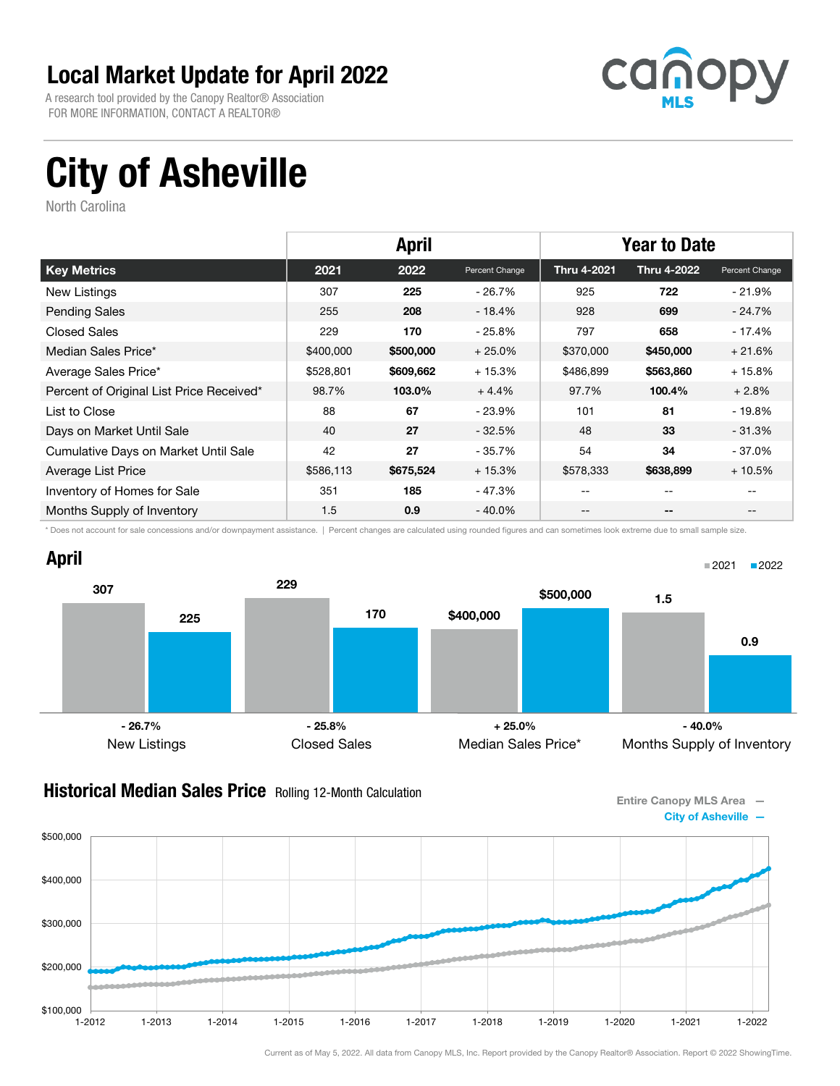A research tool provided by the Canopy Realtor® Association FOR MORE INFORMATION, CONTACT A REALTOR®



# City of Asheville

North Carolina

|                                          | <b>April</b> |           |                | <b>Year to Date</b> |                    |                |
|------------------------------------------|--------------|-----------|----------------|---------------------|--------------------|----------------|
| <b>Key Metrics</b>                       | 2021         | 2022      | Percent Change | Thru 4-2021         | <b>Thru 4-2022</b> | Percent Change |
| <b>New Listings</b>                      | 307          | 225       | - 26.7%        | 925                 | 722                | - 21.9%        |
| <b>Pending Sales</b>                     | 255          | 208       | - 18.4%        | 928                 | 699                | - 24.7%        |
| <b>Closed Sales</b>                      | 229          | 170       | $-25.8\%$      | 797                 | 658                | - 17.4%        |
| Median Sales Price*                      | \$400,000    | \$500,000 | $+25.0%$       | \$370,000           | \$450,000          | $+21.6%$       |
| Average Sales Price*                     | \$528,801    | \$609,662 | $+15.3%$       | \$486,899           | \$563,860          | $+15.8%$       |
| Percent of Original List Price Received* | 98.7%        | 103.0%    | $+4.4%$        | 97.7%               | 100.4%             | $+2.8%$        |
| List to Close                            | 88           | 67        | - 23.9%        | 101                 | 81                 | $-19.8%$       |
| Days on Market Until Sale                | 40           | 27        | $-32.5%$       | 48                  | 33                 | $-31.3%$       |
| Cumulative Days on Market Until Sale     | 42           | 27        | $-35.7%$       | 54                  | 34                 | $-37.0\%$      |
| Average List Price                       | \$586,113    | \$675,524 | $+15.3%$       | \$578,333           | \$638,899          | $+10.5%$       |
| Inventory of Homes for Sale              | 351          | 185       | - 47.3%        | --                  | --                 |                |
| Months Supply of Inventory               | 1.5          | 0.9       | - 40.0%        | --                  | --                 |                |

\* Does not account for sale concessions and/or downpayment assistance. | Percent changes are calculated using rounded figures and can sometimes look extreme due to small sample size.



#### **Historical Median Sales Price** Rolling 12-Month Calculation

Entire Canopy MLS Area — City of Asheville —

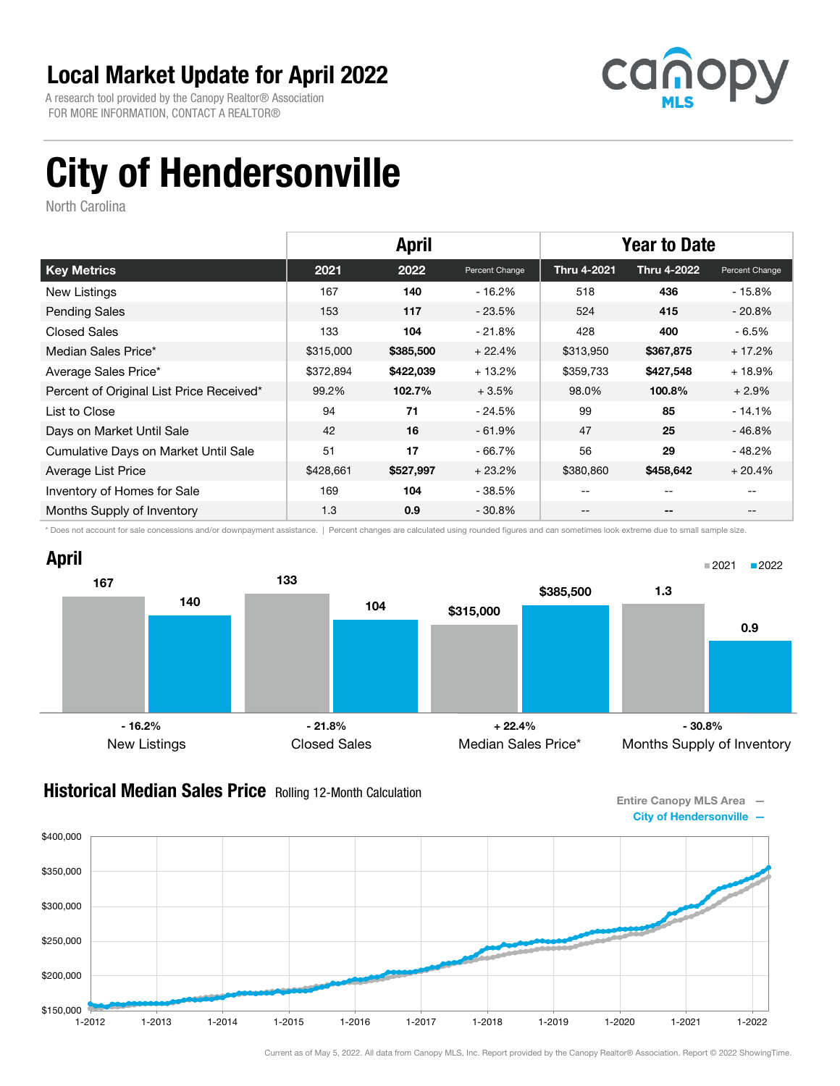A research tool provided by the Canopy Realtor® Association FOR MORE INFORMATION, CONTACT A REALTOR®



# City of Hendersonville

North Carolina

|                                          | <b>April</b> |           |                | <b>Year to Date</b> |                    |                |
|------------------------------------------|--------------|-----------|----------------|---------------------|--------------------|----------------|
| <b>Key Metrics</b>                       | 2021         | 2022      | Percent Change | <b>Thru 4-2021</b>  | <b>Thru 4-2022</b> | Percent Change |
| New Listings                             | 167          | 140       | - 16.2%        | 518                 | 436                | - 15.8%        |
| <b>Pending Sales</b>                     | 153          | 117       | $-23.5%$       | 524                 | 415                | $-20.8%$       |
| <b>Closed Sales</b>                      | 133          | 104       | $-21.8%$       | 428                 | 400                | - 6.5%         |
| Median Sales Price*                      | \$315,000    | \$385,500 | $+22.4%$       | \$313,950           | \$367,875          | $+17.2%$       |
| Average Sales Price*                     | \$372,894    | \$422,039 | $+13.2%$       | \$359,733           | \$427,548          | $+18.9%$       |
| Percent of Original List Price Received* | 99.2%        | 102.7%    | $+3.5%$        | 98.0%               | 100.8%             | $+2.9%$        |
| List to Close                            | 94           | 71        | $-24.5%$       | 99                  | 85                 | $-14.1%$       |
| Days on Market Until Sale                | 42           | 16        | $-61.9\%$      | 47                  | 25                 | - 46.8%        |
| Cumulative Days on Market Until Sale     | 51           | 17        | $-66.7%$       | 56                  | 29                 | $-48.2%$       |
| Average List Price                       | \$428,661    | \$527,997 | $+23.2%$       | \$380,860           | \$458,642          | $+20.4%$       |
| Inventory of Homes for Sale              | 169          | 104       | - 38.5%        | --                  | --                 |                |
| Months Supply of Inventory               | 1.3          | 0.9       | $-30.8\%$      | --                  | --                 | $- -$          |

\* Does not account for sale concessions and/or downpayment assistance. | Percent changes are calculated using rounded figures and can sometimes look extreme due to small sample size.



#### **Historical Median Sales Price** Rolling 12-Month Calculation

Entire Canopy MLS Area — City of Hendersonville —

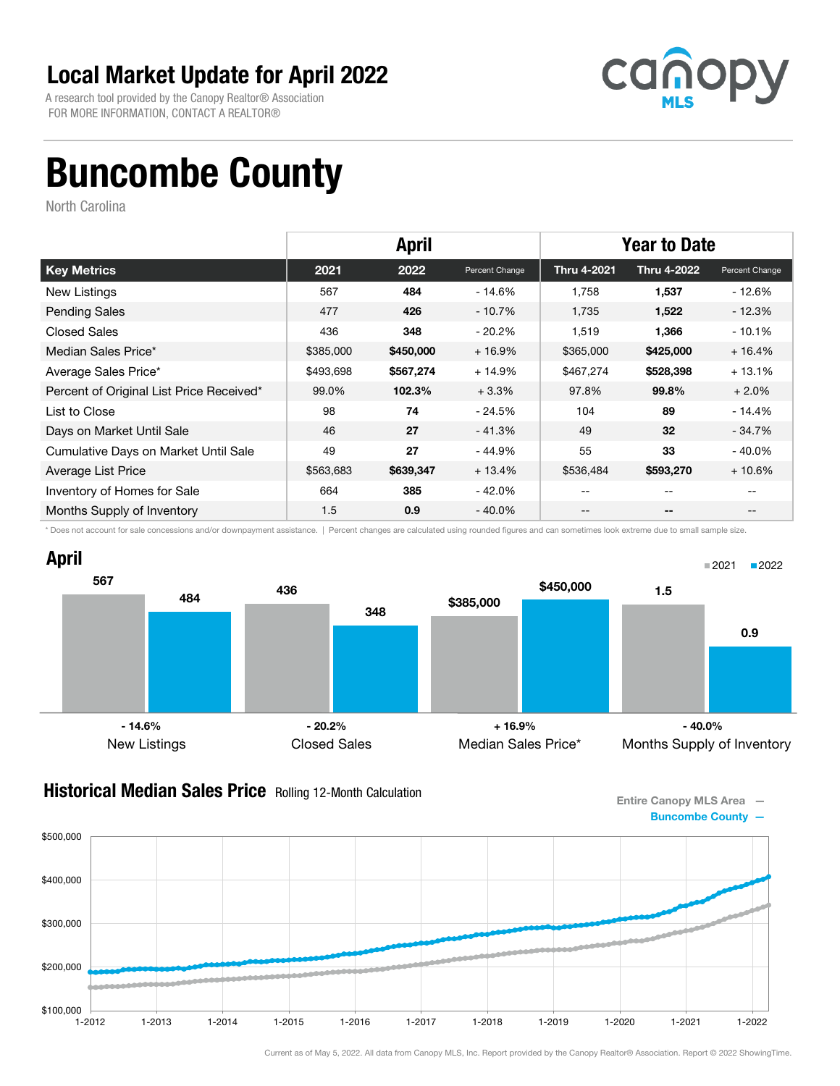A research tool provided by the Canopy Realtor® Association FOR MORE INFORMATION, CONTACT A REALTOR®



## Buncombe County

North Carolina

|                                          | <b>April</b> |           |                | <b>Year to Date</b> |                    |                |
|------------------------------------------|--------------|-----------|----------------|---------------------|--------------------|----------------|
| <b>Key Metrics</b>                       | 2021         | 2022      | Percent Change | <b>Thru 4-2021</b>  | <b>Thru 4-2022</b> | Percent Change |
| New Listings                             | 567          | 484       | $-14.6%$       | 1,758               | 1,537              | - 12.6%        |
| <b>Pending Sales</b>                     | 477          | 426       | $-10.7%$       | 1,735               | 1,522              | $-12.3%$       |
| <b>Closed Sales</b>                      | 436          | 348       | $-20.2\%$      | 1,519               | 1,366              | $-10.1%$       |
| Median Sales Price*                      | \$385,000    | \$450,000 | $+16.9%$       | \$365,000           | \$425,000          | $+16.4%$       |
| Average Sales Price*                     | \$493,698    | \$567,274 | $+14.9%$       | \$467,274           | \$528,398          | $+13.1%$       |
| Percent of Original List Price Received* | 99.0%        | 102.3%    | $+3.3%$        | 97.8%               | 99.8%              | $+2.0%$        |
| List to Close                            | 98           | 74        | - 24.5%        | 104                 | 89                 | $-14.4%$       |
| Days on Market Until Sale                | 46           | 27        | $-41.3%$       | 49                  | 32                 | $-34.7\%$      |
| Cumulative Days on Market Until Sale     | 49           | 27        | - 44.9%        | 55                  | 33                 | $-40.0\%$      |
| Average List Price                       | \$563,683    | \$639,347 | $+13.4%$       | \$536,484           | \$593,270          | $+10.6%$       |
| Inventory of Homes for Sale              | 664          | 385       | $-42.0%$       |                     | --                 |                |
| Months Supply of Inventory               | 1.5          | 0.9       | $-40.0\%$      | --                  | --                 |                |

\* Does not account for sale concessions and/or downpayment assistance. | Percent changes are calculated using rounded figures and can sometimes look extreme due to small sample size.



#### **Historical Median Sales Price** Rolling 12-Month Calculation

Entire Canopy MLS Area — Buncombe County —

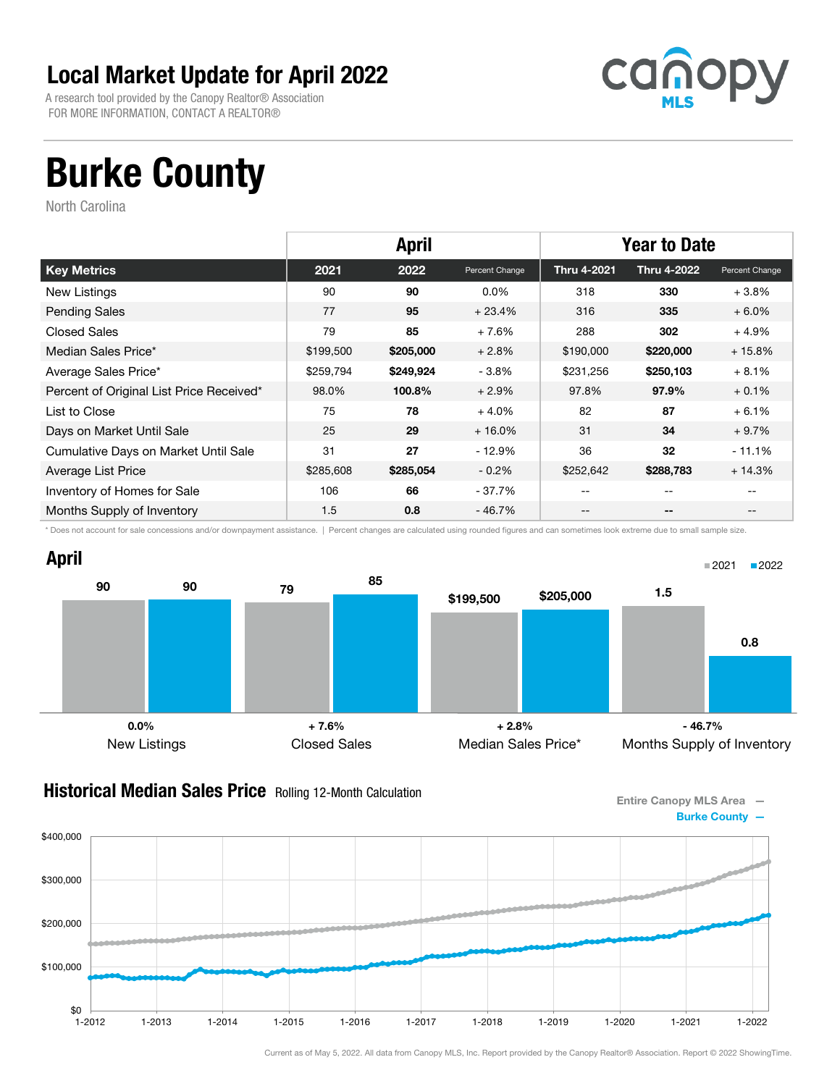A research tool provided by the Canopy Realtor® Association FOR MORE INFORMATION, CONTACT A REALTOR®



# Burke County

North Carolina

|                                          | <b>April</b> |           |                | <b>Year to Date</b> |                    |                |
|------------------------------------------|--------------|-----------|----------------|---------------------|--------------------|----------------|
| <b>Key Metrics</b>                       | 2021         | 2022      | Percent Change | <b>Thru 4-2021</b>  | <b>Thru 4-2022</b> | Percent Change |
| New Listings                             | 90           | 90        | $0.0\%$        | 318                 | 330                | $+3.8%$        |
| <b>Pending Sales</b>                     | 77           | 95        | $+23.4%$       | 316                 | 335                | $+6.0\%$       |
| <b>Closed Sales</b>                      | 79           | 85        | $+7.6%$        | 288                 | 302                | $+4.9%$        |
| Median Sales Price*                      | \$199,500    | \$205,000 | $+2.8%$        | \$190,000           | \$220,000          | $+15.8%$       |
| Average Sales Price*                     | \$259,794    | \$249,924 | $-3.8%$        | \$231,256           | \$250,103          | $+8.1%$        |
| Percent of Original List Price Received* | 98.0%        | 100.8%    | $+2.9%$        | 97.8%               | 97.9%              | $+0.1%$        |
| List to Close                            | 75           | 78        | $+4.0%$        | 82                  | 87                 | $+6.1%$        |
| Days on Market Until Sale                | 25           | 29        | $+16.0%$       | 31                  | 34                 | $+9.7%$        |
| Cumulative Days on Market Until Sale     | 31           | 27        | $-12.9%$       | 36                  | 32                 | $-11.1%$       |
| Average List Price                       | \$285,608    | \$285,054 | $-0.2%$        | \$252,642           | \$288,783          | $+14.3%$       |
| Inventory of Homes for Sale              | 106          | 66        | - 37.7%        | --                  | $- -$              |                |
| Months Supply of Inventory               | 1.5          | 0.8       | - 46.7%        | --                  | --                 |                |

\* Does not account for sale concessions and/or downpayment assistance. | Percent changes are calculated using rounded figures and can sometimes look extreme due to small sample size.



#### **Historical Median Sales Price** Rolling 12-Month Calculation

Entire Canopy MLS Area — Burke County —

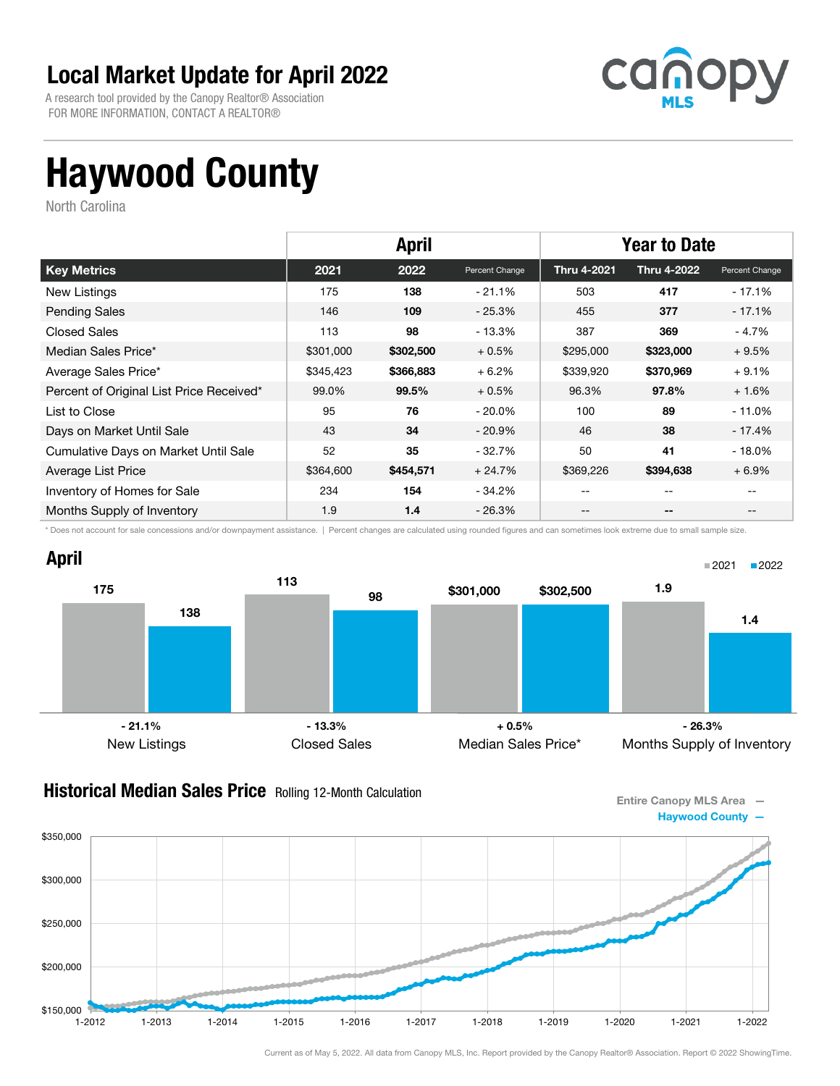A research tool provided by the Canopy Realtor® Association FOR MORE INFORMATION, CONTACT A REALTOR®



# Haywood County

North Carolina

|                                          | <b>April</b> |           |                | <b>Year to Date</b> |                    |                |
|------------------------------------------|--------------|-----------|----------------|---------------------|--------------------|----------------|
| <b>Key Metrics</b>                       | 2021         | 2022      | Percent Change | <b>Thru 4-2021</b>  | <b>Thru 4-2022</b> | Percent Change |
| New Listings                             | 175          | 138       | $-21.1\%$      | 503                 | 417                | - 17.1%        |
| <b>Pending Sales</b>                     | 146          | 109       | $-25.3%$       | 455                 | 377                | $-17.1%$       |
| <b>Closed Sales</b>                      | 113          | 98        | $-13.3%$       | 387                 | 369                | - 4.7%         |
| Median Sales Price*                      | \$301,000    | \$302,500 | $+0.5%$        | \$295,000           | \$323,000          | $+9.5%$        |
| Average Sales Price*                     | \$345,423    | \$366,883 | $+6.2%$        | \$339,920           | \$370,969          | $+9.1%$        |
| Percent of Original List Price Received* | 99.0%        | 99.5%     | $+0.5%$        | 96.3%               | 97.8%              | $+1.6%$        |
| List to Close                            | 95           | 76        | - 20.0%        | 100                 | 89                 | $-11.0\%$      |
| Days on Market Until Sale                | 43           | 34        | $-20.9\%$      | 46                  | 38                 | $-17.4%$       |
| Cumulative Days on Market Until Sale     | 52           | 35        | $-32.7\%$      | 50                  | 41                 | $-18.0\%$      |
| Average List Price                       | \$364,600    | \$454,571 | $+24.7%$       | \$369,226           | \$394,638          | $+6.9%$        |
| Inventory of Homes for Sale              | 234          | 154       | - 34.2%        | --                  | --                 |                |
| Months Supply of Inventory               | 1.9          | 1.4       | $-26.3\%$      | --                  | --                 |                |

\* Does not account for sale concessions and/or downpayment assistance. | Percent changes are calculated using rounded figures and can sometimes look extreme due to small sample size.



#### **Historical Median Sales Price** Rolling 12-Month Calculation



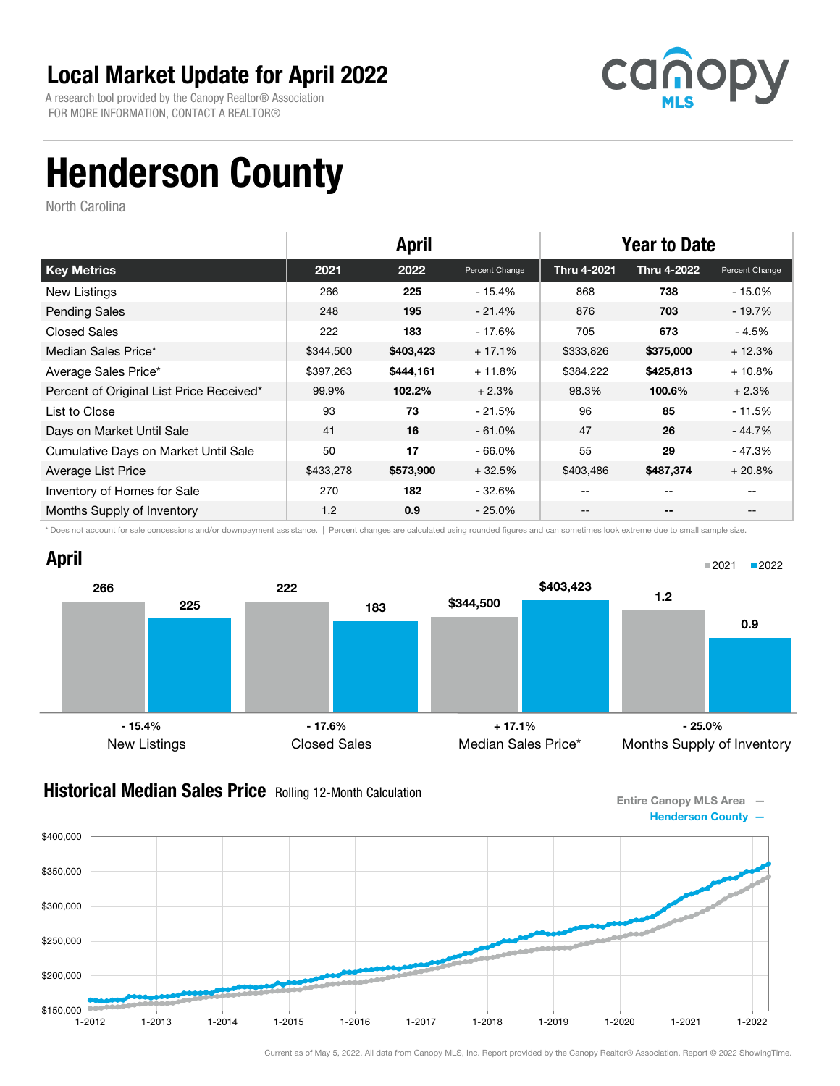A research tool provided by the Canopy Realtor® Association FOR MORE INFORMATION, CONTACT A REALTOR®



## Henderson County

North Carolina

|                                          |           | <b>April</b> |                | <b>Year to Date</b> |                    |                |
|------------------------------------------|-----------|--------------|----------------|---------------------|--------------------|----------------|
| <b>Key Metrics</b>                       | 2021      | 2022         | Percent Change | <b>Thru 4-2021</b>  | <b>Thru 4-2022</b> | Percent Change |
| New Listings                             | 266       | 225          | $-15.4%$       | 868                 | 738                | - 15.0%        |
| <b>Pending Sales</b>                     | 248       | 195          | $-21.4%$       | 876                 | 703                | - 19.7%        |
| <b>Closed Sales</b>                      | 222       | 183          | - 17.6%        | 705                 | 673                | - 4.5%         |
| Median Sales Price*                      | \$344,500 | \$403,423    | $+17.1%$       | \$333,826           | \$375,000          | $+12.3%$       |
| Average Sales Price*                     | \$397,263 | \$444,161    | $+11.8%$       | \$384,222           | \$425,813          | $+10.8%$       |
| Percent of Original List Price Received* | 99.9%     | 102.2%       | $+2.3%$        | 98.3%               | 100.6%             | $+2.3%$        |
| List to Close                            | 93        | 73           | - 21.5%        | 96                  | 85                 | $-11.5%$       |
| Days on Market Until Sale                | 41        | 16           | $-61.0\%$      | 47                  | 26                 | $-44.7%$       |
| Cumulative Days on Market Until Sale     | 50        | 17           | $-66.0\%$      | 55                  | 29                 | - 47.3%        |
| Average List Price                       | \$433,278 | \$573,900    | $+32.5%$       | \$403,486           | \$487,374          | $+20.8%$       |
| Inventory of Homes for Sale              | 270       | 182          | - 32.6%        | --                  | --                 |                |
| Months Supply of Inventory               | 1.2       | 0.9          | $-25.0\%$      | --                  | --                 |                |

\* Does not account for sale concessions and/or downpayment assistance. | Percent changes are calculated using rounded figures and can sometimes look extreme due to small sample size.



#### **Historical Median Sales Price** Rolling 12-Month Calculation

Entire Canopy MLS Area — Henderson County —

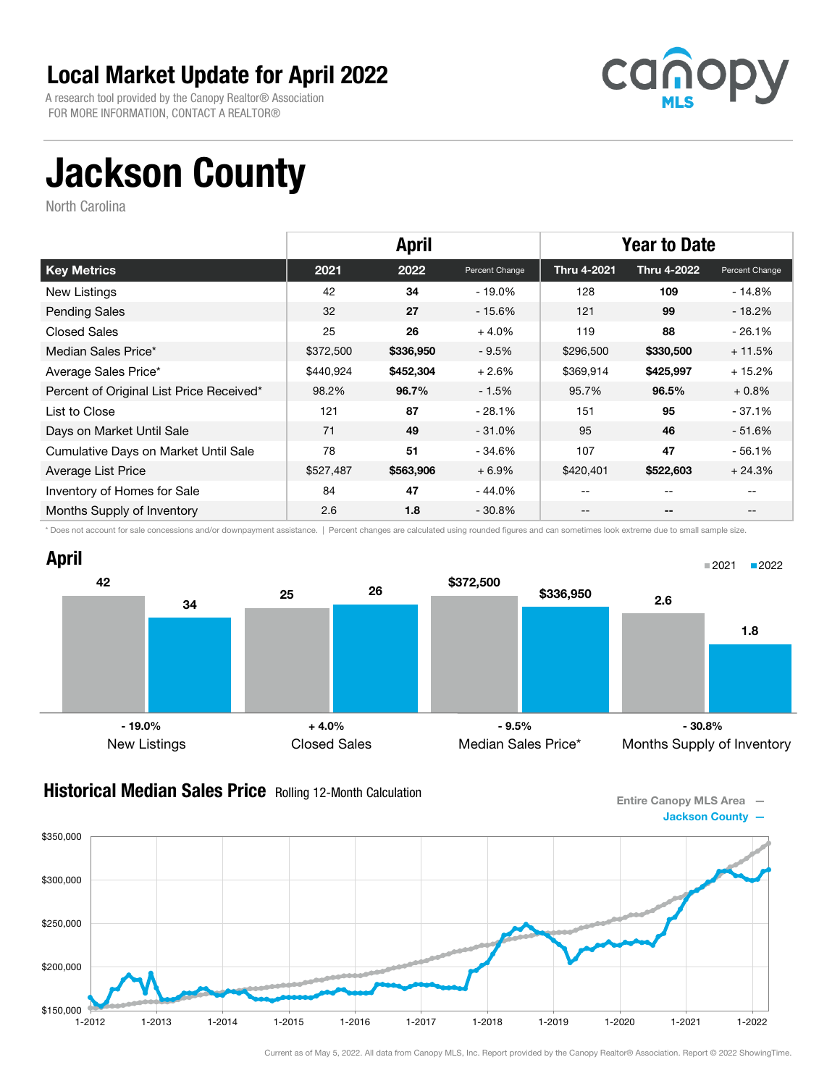A research tool provided by the Canopy Realtor® Association FOR MORE INFORMATION, CONTACT A REALTOR®



# Jackson County

North Carolina

|                                          | <b>April</b> |           |                | <b>Year to Date</b> |                    |                |
|------------------------------------------|--------------|-----------|----------------|---------------------|--------------------|----------------|
| <b>Key Metrics</b>                       | 2021         | 2022      | Percent Change | <b>Thru 4-2021</b>  | <b>Thru 4-2022</b> | Percent Change |
| <b>New Listings</b>                      | 42           | 34        | $-19.0\%$      | 128                 | 109                | $-14.8%$       |
| <b>Pending Sales</b>                     | 32           | 27        | - 15.6%        | 121                 | 99                 | $-18.2%$       |
| <b>Closed Sales</b>                      | 25           | 26        | $+4.0%$        | 119                 | 88                 | $-26.1%$       |
| Median Sales Price*                      | \$372,500    | \$336,950 | $-9.5%$        | \$296,500           | \$330,500          | $+11.5%$       |
| Average Sales Price*                     | \$440,924    | \$452,304 | $+2.6%$        | \$369,914           | \$425,997          | $+15.2%$       |
| Percent of Original List Price Received* | 98.2%        | 96.7%     | $-1.5%$        | 95.7%               | 96.5%              | $+0.8\%$       |
| List to Close                            | 121          | 87        | $-28.1%$       | 151                 | 95                 | $-37.1%$       |
| Days on Market Until Sale                | 71           | 49        | $-31.0\%$      | 95                  | 46                 | $-51.6%$       |
| Cumulative Days on Market Until Sale     | 78           | 51        | - 34.6%        | 107                 | 47                 | $-56.1%$       |
| Average List Price                       | \$527,487    | \$563,906 | $+6.9%$        | \$420,401           | \$522,603          | $+24.3%$       |
| Inventory of Homes for Sale              | 84           | 47        | - 44.0%        | --                  | --                 |                |
| Months Supply of Inventory               | 2.6          | 1.8       | $-30.8\%$      | --                  | --                 |                |

\* Does not account for sale concessions and/or downpayment assistance. | Percent changes are calculated using rounded figures and can sometimes look extreme due to small sample size.



#### **Historical Median Sales Price** Rolling 12-Month Calculation

Entire Canopy MLS Area — Jackson County —

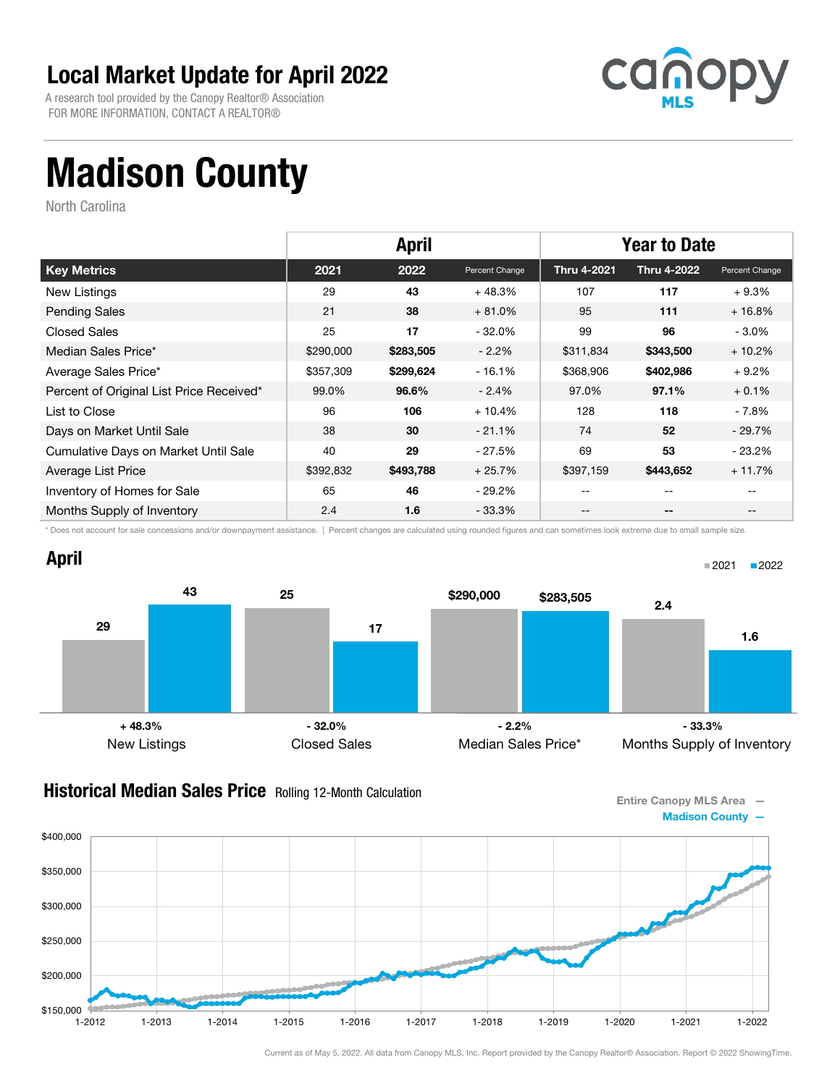A research tool provided by the Canopy Realtor® Association FOR MORE INFORMATION, CONTACT A REALTOR®



# Madison County

North Carolina

\$350,000

\$400,000

|                                          | <b>April</b> |           |                | <b>Year to Date</b> |                    |                |
|------------------------------------------|--------------|-----------|----------------|---------------------|--------------------|----------------|
| <b>Key Metrics</b>                       | 2021         | 2022      | Percent Change | Thru 4-2021         | <b>Thru 4-2022</b> | Percent Change |
| New Listings                             | 29           | 43        | $+48.3%$       | 107                 | 117                | $+9.3%$        |
| <b>Pending Sales</b>                     | 21           | 38        | $+81.0%$       | 95                  | 111                | $+16.8%$       |
| <b>Closed Sales</b>                      | 25           | 17        | $-32.0\%$      | 99                  | 96                 | $-3.0\%$       |
| Median Sales Price*                      | \$290,000    | \$283,505 | $-2.2%$        | \$311,834           | \$343,500          | $+10.2%$       |
| Average Sales Price*                     | \$357,309    | \$299,624 | $-16.1%$       | \$368,906           | \$402,986          | $+9.2%$        |
| Percent of Original List Price Received* | 99.0%        | 96.6%     | $-2.4%$        | 97.0%               | 97.1%              | $+0.1%$        |
| List to Close                            | 96           | 106       | $+10.4%$       | 128                 | 118                | - 7.8%         |
| Days on Market Until Sale                | 38           | 30        | $-21.1%$       | 74                  | 52                 | $-29.7%$       |
| Cumulative Days on Market Until Sale     | 40           | 29        | - 27.5%        | 69                  | 53                 | $-23.2%$       |
| Average List Price                       | \$392,832    | \$493,788 | $+25.7%$       | \$397,159           | \$443,652          | $+11.7%$       |
| Inventory of Homes for Sale              | 65           | 46        | - 29.2%        | --                  | --                 |                |
| Months Supply of Inventory               | 2.4          | 1.6       | - 33.3%        | --                  | $- -$              |                |

\* Does not account for sale concessions and/or downpayment assistance. | Percent changes are calculated using rounded figures and can sometimes look extreme due to small sample size.



#### **Historical Median Sales Price** Rolling 12-Month Calculation



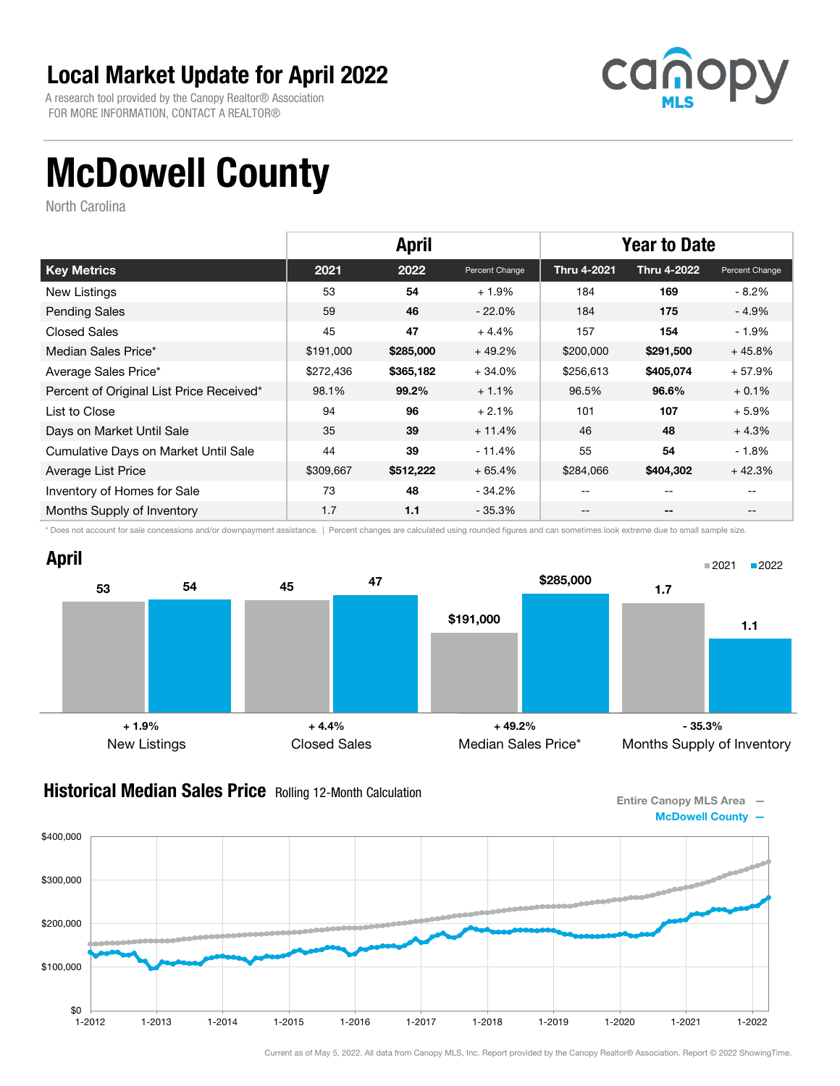A research tool provided by the Canopy Realtor® Association FOR MORE INFORMATION, CONTACT A REALTOR®



# McDowell County

North Carolina

|                                          | <b>April</b> |           |                | <b>Year to Date</b> |                    |                |
|------------------------------------------|--------------|-----------|----------------|---------------------|--------------------|----------------|
| <b>Key Metrics</b>                       | 2021         | 2022      | Percent Change | <b>Thru 4-2021</b>  | <b>Thru 4-2022</b> | Percent Change |
| <b>New Listings</b>                      | 53           | 54        | $+1.9%$        | 184                 | 169                | $-8.2\%$       |
| <b>Pending Sales</b>                     | 59           | 46        | $-22.0%$       | 184                 | 175                | $-4.9%$        |
| <b>Closed Sales</b>                      | 45           | 47        | $+4.4%$        | 157                 | 154                | $-1.9\%$       |
| Median Sales Price*                      | \$191,000    | \$285,000 | $+49.2%$       | \$200,000           | \$291,500          | $+45.8%$       |
| Average Sales Price*                     | \$272,436    | \$365,182 | $+34.0%$       | \$256,613           | \$405,074          | $+57.9%$       |
| Percent of Original List Price Received* | 98.1%        | 99.2%     | $+1.1%$        | 96.5%               | 96.6%              | $+0.1%$        |
| List to Close                            | 94           | 96        | $+2.1%$        | 101                 | 107                | $+5.9%$        |
| Days on Market Until Sale                | 35           | 39        | $+11.4%$       | 46                  | 48                 | $+4.3%$        |
| Cumulative Days on Market Until Sale     | 44           | 39        | $-11.4%$       | 55                  | 54                 | $-1.8\%$       |
| Average List Price                       | \$309,667    | \$512,222 | $+65.4%$       | \$284,066           | \$404,302          | $+42.3%$       |
| Inventory of Homes for Sale              | 73           | 48        | - 34.2%        | --                  | --                 |                |
| Months Supply of Inventory               | 1.7          | 1.1       | $-35.3\%$      | --                  | --                 |                |

\* Does not account for sale concessions and/or downpayment assistance. | Percent changes are calculated using rounded figures and can sometimes look extreme due to small sample size.



#### **Historical Median Sales Price** Rolling 12-Month Calculation

Entire Canopy MLS Area — McDowell County —

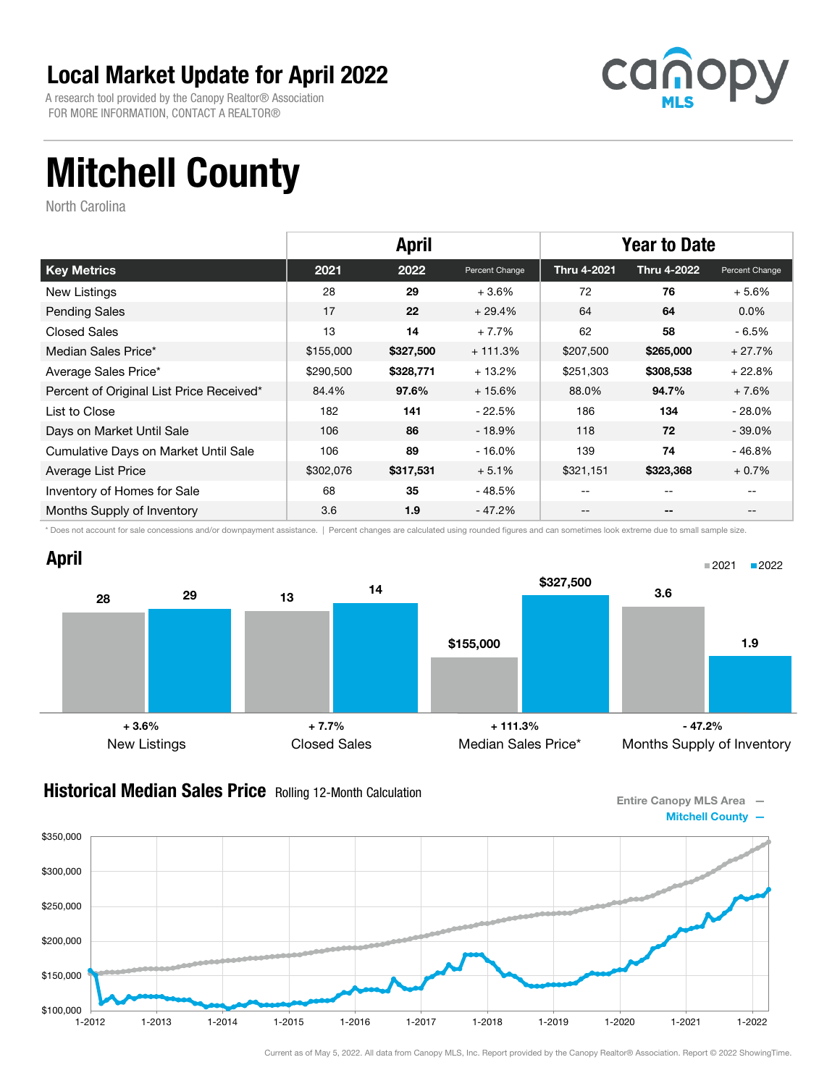A research tool provided by the Canopy Realtor® Association FOR MORE INFORMATION, CONTACT A REALTOR®



# Mitchell County

North Carolina

|                                          | <b>April</b> |           |                | <b>Year to Date</b> |                    |                |
|------------------------------------------|--------------|-----------|----------------|---------------------|--------------------|----------------|
| <b>Key Metrics</b>                       | 2021         | 2022      | Percent Change | <b>Thru 4-2021</b>  | <b>Thru 4-2022</b> | Percent Change |
| New Listings                             | 28           | 29        | $+3.6%$        | 72                  | 76                 | $+5.6%$        |
| <b>Pending Sales</b>                     | 17           | 22        | $+29.4%$       | 64                  | 64                 | $0.0\%$        |
| <b>Closed Sales</b>                      | 13           | 14        | $+7.7%$        | 62                  | 58                 | $-6.5%$        |
| Median Sales Price*                      | \$155,000    | \$327,500 | $+111.3%$      | \$207,500           | \$265,000          | $+27.7%$       |
| Average Sales Price*                     | \$290,500    | \$328,771 | $+13.2%$       | \$251,303           | \$308,538          | $+22.8%$       |
| Percent of Original List Price Received* | 84.4%        | 97.6%     | $+15.6%$       | 88.0%               | 94.7%              | $+7.6%$        |
| List to Close                            | 182          | 141       | - 22.5%        | 186                 | 134                | $-28.0\%$      |
| Days on Market Until Sale                | 106          | 86        | $-18.9\%$      | 118                 | 72                 | $-39.0\%$      |
| Cumulative Days on Market Until Sale     | 106          | 89        | $-16.0%$       | 139                 | 74                 | $-46.8%$       |
| Average List Price                       | \$302,076    | \$317,531 | $+5.1%$        | \$321,151           | \$323,368          | $+0.7%$        |
| Inventory of Homes for Sale              | 68           | 35        | - 48.5%        | --                  | --                 |                |
| Months Supply of Inventory               | 3.6          | 1.9       | - 47.2%        | --                  | --                 |                |

\* Does not account for sale concessions and/or downpayment assistance. | Percent changes are calculated using rounded figures and can sometimes look extreme due to small sample size.



#### **Historical Median Sales Price** Rolling 12-Month Calculation

Entire Canopy MLS Area — Mitchell County —

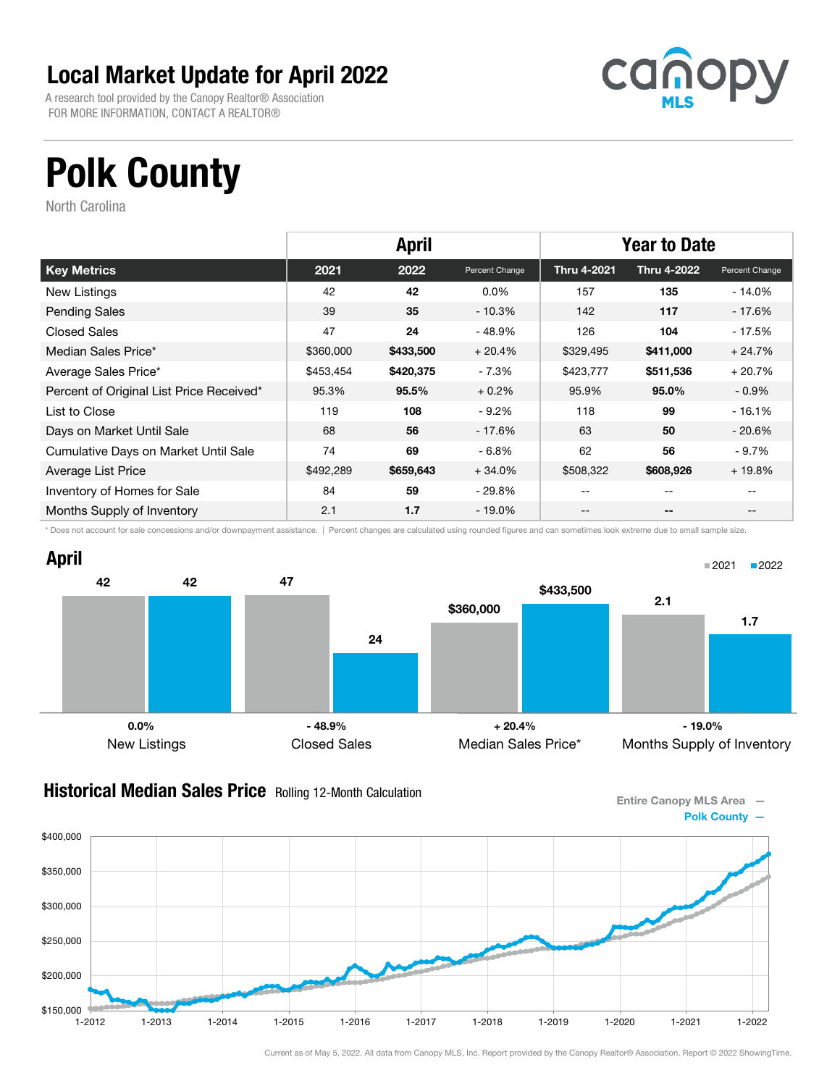A research tool provided by the Canopy Realtor® Association FOR MORE INFORMATION, CONTACT A REALTOR®



# Polk County

North Carolina

|                                          | <b>April</b> |           |                | <b>Year to Date</b> |                    |                |
|------------------------------------------|--------------|-----------|----------------|---------------------|--------------------|----------------|
| <b>Key Metrics</b>                       | 2021         | 2022      | Percent Change | <b>Thru 4-2021</b>  | <b>Thru 4-2022</b> | Percent Change |
| New Listings                             | 42           | 42        | $0.0\%$        | 157                 | 135                | $-14.0\%$      |
| <b>Pending Sales</b>                     | 39           | 35        | $-10.3%$       | 142                 | 117                | - 17.6%        |
| <b>Closed Sales</b>                      | 47           | 24        | - 48.9%        | 126                 | 104                | $-17.5%$       |
| Median Sales Price*                      | \$360,000    | \$433,500 | $+20.4%$       | \$329,495           | \$411,000          | $+24.7%$       |
| Average Sales Price*                     | \$453,454    | \$420,375 | $-7.3%$        | \$423,777           | \$511,536          | $+20.7%$       |
| Percent of Original List Price Received* | 95.3%        | 95.5%     | $+0.2%$        | 95.9%               | 95.0%              | $-0.9\%$       |
| List to Close                            | 119          | 108       | $-9.2%$        | 118                 | 99                 | $-16.1%$       |
| Days on Market Until Sale                | 68           | 56        | - 17.6%        | 63                  | 50                 | $-20.6\%$      |
| Cumulative Days on Market Until Sale     | 74           | 69        | $-6.8%$        | 62                  | 56                 | $-9.7%$        |
| Average List Price                       | \$492,289    | \$659,643 | $+34.0%$       | \$508,322           | \$608,926          | $+19.8%$       |
| Inventory of Homes for Sale              | 84           | 59        | - 29.8%        | --                  | --                 |                |
| Months Supply of Inventory               | 2.1          | 1.7       | - 19.0%        | --                  | $- -$              |                |

\* Does not account for sale concessions and/or downpayment assistance. | Percent changes are calculated using rounded figures and can sometimes look extreme due to small sample size.



#### **Historical Median Sales Price** Rolling 12-Month Calculation

Entire Canopy MLS Area — Polk County —

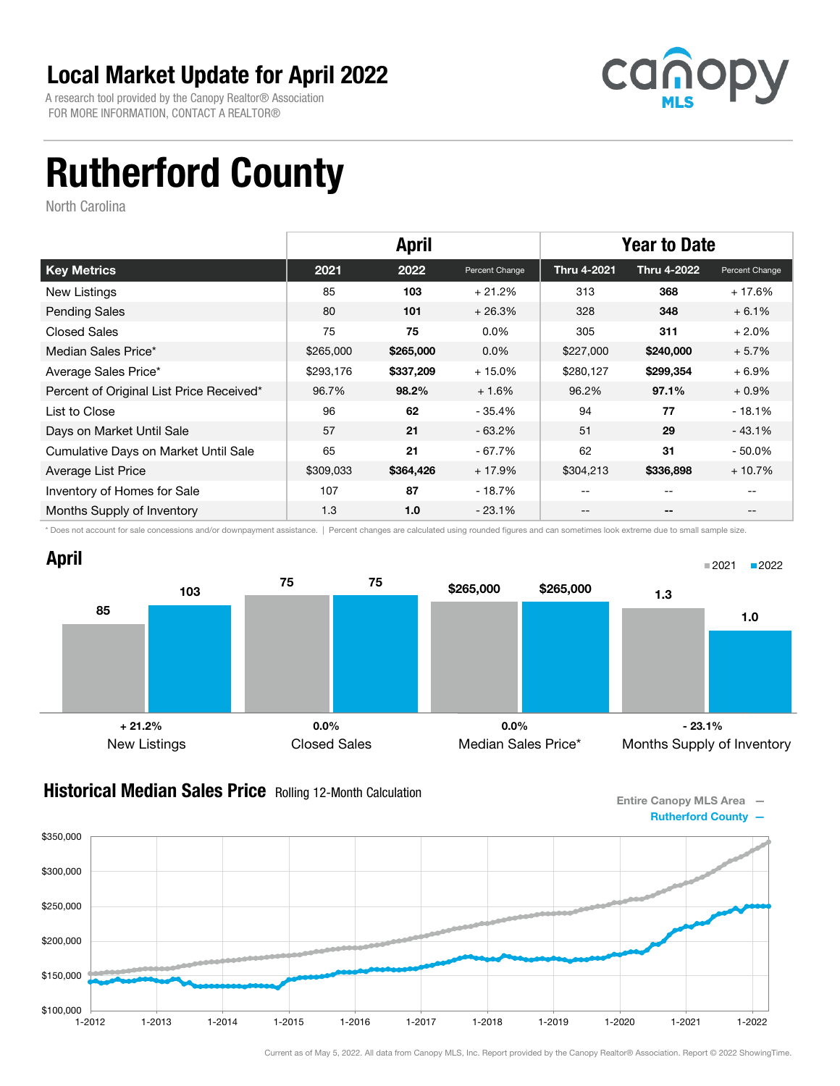A research tool provided by the Canopy Realtor® Association FOR MORE INFORMATION, CONTACT A REALTOR®



# Rutherford County

North Carolina

|                                          | <b>April</b> |           |                | <b>Year to Date</b> |                    |                |
|------------------------------------------|--------------|-----------|----------------|---------------------|--------------------|----------------|
| <b>Key Metrics</b>                       | 2021         | 2022      | Percent Change | <b>Thru 4-2021</b>  | <b>Thru 4-2022</b> | Percent Change |
| New Listings                             | 85           | 103       | $+21.2%$       | 313                 | 368                | $+17.6%$       |
| <b>Pending Sales</b>                     | 80           | 101       | $+26.3%$       | 328                 | 348                | $+6.1%$        |
| <b>Closed Sales</b>                      | 75           | 75        | $0.0\%$        | 305                 | 311                | $+2.0%$        |
| Median Sales Price*                      | \$265,000    | \$265,000 | $0.0\%$        | \$227,000           | \$240,000          | $+5.7%$        |
| Average Sales Price*                     | \$293,176    | \$337,209 | $+15.0%$       | \$280,127           | \$299,354          | $+6.9%$        |
| Percent of Original List Price Received* | 96.7%        | 98.2%     | $+1.6%$        | 96.2%               | 97.1%              | $+0.9\%$       |
| List to Close                            | 96           | 62        | - 35.4%        | 94                  | 77                 | $-18.1%$       |
| Days on Market Until Sale                | 57           | 21        | $-63.2\%$      | 51                  | 29                 | $-43.1%$       |
| Cumulative Days on Market Until Sale     | 65           | 21        | $-67.7%$       | 62                  | 31                 | $-50.0\%$      |
| Average List Price                       | \$309,033    | \$364,426 | $+17.9%$       | \$304,213           | \$336,898          | $+10.7%$       |
| Inventory of Homes for Sale              | 107          | 87        | - 18.7%        | --                  | $- -$              |                |
| Months Supply of Inventory               | 1.3          | 1.0       | $-23.1%$       | --                  | --                 | $- -$          |

\* Does not account for sale concessions and/or downpayment assistance. | Percent changes are calculated using rounded figures and can sometimes look extreme due to small sample size.



#### **Historical Median Sales Price** Rolling 12-Month Calculation

Entire Canopy MLS Area — Rutherford County —

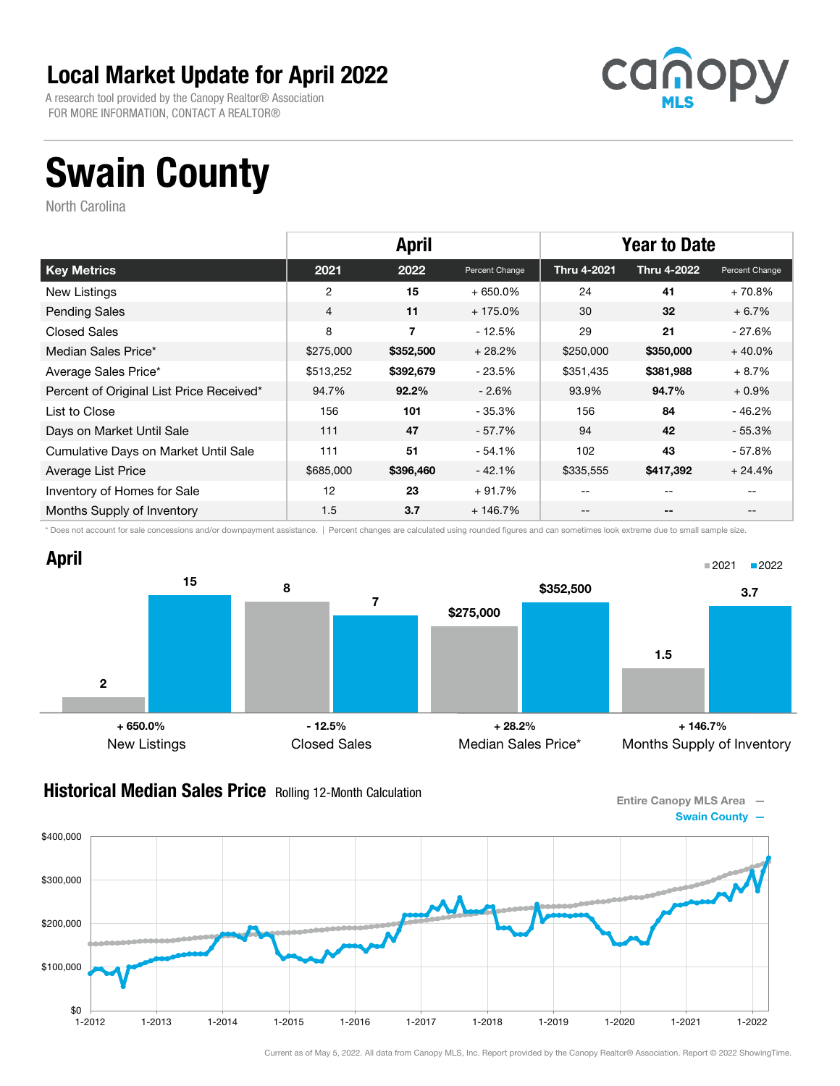A research tool provided by the Canopy Realtor® Association FOR MORE INFORMATION, CONTACT A REALTOR®



# Swain County

North Carolina

|                                          | <b>April</b> |           |                | <b>Year to Date</b> |                    |                   |
|------------------------------------------|--------------|-----------|----------------|---------------------|--------------------|-------------------|
| <b>Key Metrics</b>                       | 2021         | 2022      | Percent Change | <b>Thru 4-2021</b>  | <b>Thru 4-2022</b> | Percent Change    |
| New Listings                             | 2            | 15        | $+650.0%$      | 24                  | 41                 | $+70.8%$          |
| <b>Pending Sales</b>                     | 4            | 11        | $+175.0%$      | 30                  | 32                 | $+6.7%$           |
| <b>Closed Sales</b>                      | 8            | 7         | $-12.5%$       | 29                  | 21                 | $-27.6%$          |
| Median Sales Price*                      | \$275,000    | \$352,500 | $+28.2%$       | \$250,000           | \$350,000          | $+40.0%$          |
| Average Sales Price*                     | \$513,252    | \$392,679 | - 23.5%        | \$351,435           | \$381,988          | $+8.7%$           |
| Percent of Original List Price Received* | 94.7%        | $92.2\%$  | $-2.6%$        | 93.9%               | 94.7%              | $+0.9\%$          |
| List to Close                            | 156          | 101       | - 35.3%        | 156                 | 84                 | - 46.2%           |
| Days on Market Until Sale                | 111          | 47        | - 57.7%        | 94                  | 42                 | $-55.3%$          |
| Cumulative Days on Market Until Sale     | 111          | 51        | $-54.1%$       | 102                 | 43                 | $-57.8%$          |
| Average List Price                       | \$685,000    | \$396,460 | $-42.1%$       | \$335,555           | \$417,392          | $+24.4%$          |
| Inventory of Homes for Sale              | 12           | 23        | $+91.7%$       | --                  | $- -$              |                   |
| Months Supply of Inventory               | 1.5          | 3.7       | $+146.7%$      | --                  | $- -$              | $\qquad \qquad -$ |

\* Does not account for sale concessions and/or downpayment assistance. | Percent changes are calculated using rounded figures and can sometimes look extreme due to small sample size.



#### **Historical Median Sales Price** Rolling 12-Month Calculation

Entire Canopy MLS Area — Swain County —

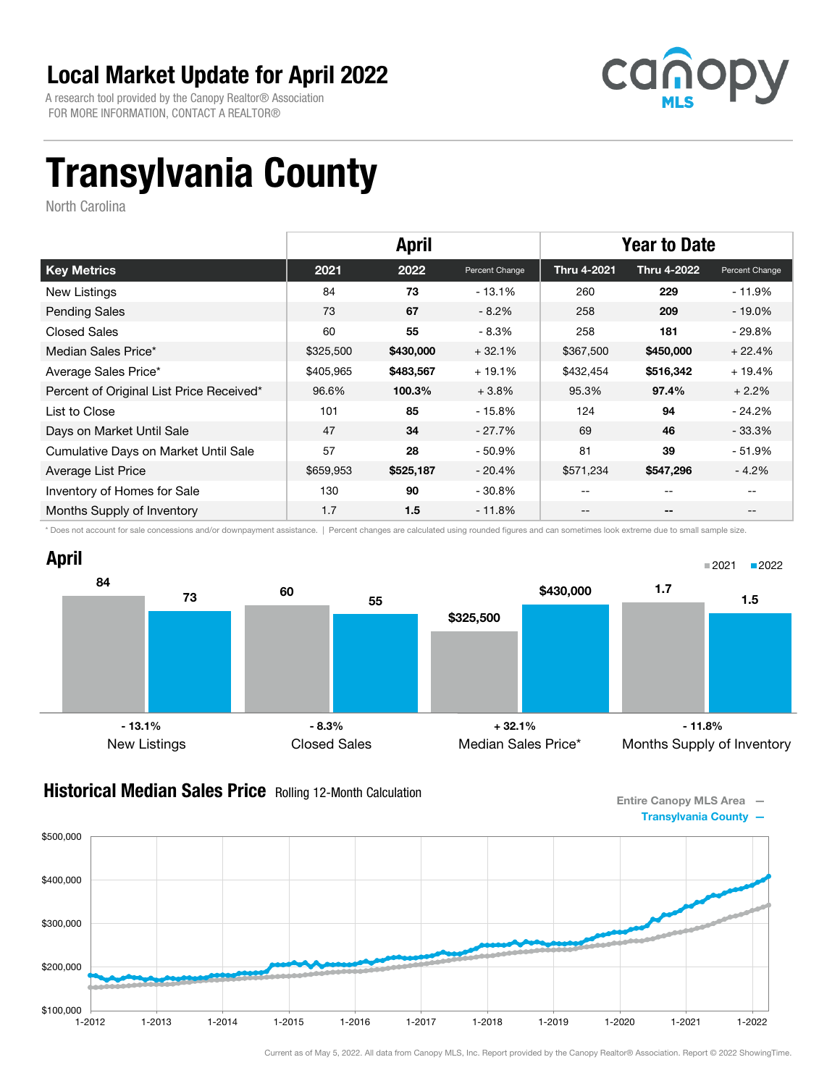A research tool provided by the Canopy Realtor® Association FOR MORE INFORMATION, CONTACT A REALTOR®



## Transylvania County

North Carolina

|                                          | <b>April</b> |           |                | <b>Year to Date</b> |                    |                |
|------------------------------------------|--------------|-----------|----------------|---------------------|--------------------|----------------|
| <b>Key Metrics</b>                       | 2021         | 2022      | Percent Change | <b>Thru 4-2021</b>  | <b>Thru 4-2022</b> | Percent Change |
| New Listings                             | 84           | 73        | - 13.1%        | 260                 | 229                | - 11.9%        |
| <b>Pending Sales</b>                     | 73           | 67        | $-8.2%$        | 258                 | 209                | $-19.0\%$      |
| <b>Closed Sales</b>                      | 60           | 55        | $-8.3%$        | 258                 | 181                | $-29.8%$       |
| Median Sales Price*                      | \$325,500    | \$430,000 | $+32.1%$       | \$367,500           | \$450,000          | $+22.4%$       |
| Average Sales Price*                     | \$405,965    | \$483,567 | $+19.1%$       | \$432,454           | \$516,342          | $+19.4%$       |
| Percent of Original List Price Received* | 96.6%        | 100.3%    | $+3.8%$        | 95.3%               | 97.4%              | $+2.2%$        |
| List to Close                            | 101          | 85        | - 15.8%        | 124                 | 94                 | $-24.2\%$      |
| Days on Market Until Sale                | 47           | 34        | - 27.7%        | 69                  | 46                 | $-33.3%$       |
| Cumulative Days on Market Until Sale     | 57           | 28        | $-50.9%$       | 81                  | 39                 | - 51.9%        |
| Average List Price                       | \$659,953    | \$525,187 | $-20.4\%$      | \$571,234           | \$547,296          | $-4.2%$        |
| Inventory of Homes for Sale              | 130          | 90        | - 30.8%        | --                  | --                 |                |
| Months Supply of Inventory               | 1.7          | 1.5       | - 11.8%        | --                  | --                 |                |

\* Does not account for sale concessions and/or downpayment assistance. | Percent changes are calculated using rounded figures and can sometimes look extreme due to small sample size.



#### **Historical Median Sales Price** Rolling 12-Month Calculation

Entire Canopy MLS Area — Transylvania County —

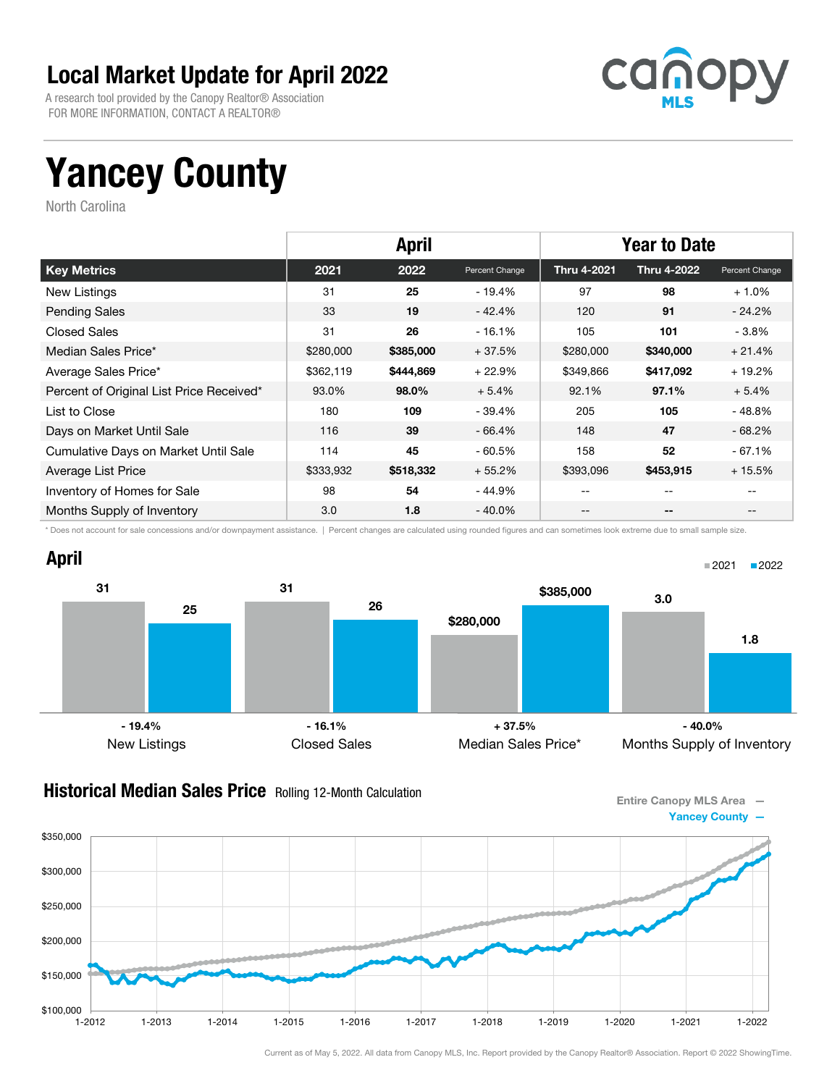A research tool provided by the Canopy Realtor® Association FOR MORE INFORMATION, CONTACT A REALTOR®



## Yancey County

North Carolina

|                                          | <b>April</b> |           |                | <b>Year to Date</b> |                    |                |
|------------------------------------------|--------------|-----------|----------------|---------------------|--------------------|----------------|
| <b>Key Metrics</b>                       | 2021         | 2022      | Percent Change | Thru 4-2021         | <b>Thru 4-2022</b> | Percent Change |
| <b>New Listings</b>                      | 31           | 25        | - 19.4%        | 97                  | 98                 | $+1.0%$        |
| <b>Pending Sales</b>                     | 33           | 19        | - 42.4%        | 120                 | 91                 | $-24.2\%$      |
| <b>Closed Sales</b>                      | 31           | 26        | $-16.1%$       | 105                 | 101                | $-3.8\%$       |
| Median Sales Price*                      | \$280,000    | \$385,000 | $+37.5%$       | \$280,000           | \$340,000          | $+21.4%$       |
| Average Sales Price*                     | \$362,119    | \$444,869 | $+22.9%$       | \$349,866           | \$417,092          | $+19.2%$       |
| Percent of Original List Price Received* | 93.0%        | 98.0%     | $+5.4%$        | 92.1%               | 97.1%              | $+5.4%$        |
| List to Close                            | 180          | 109       | - 39.4%        | 205                 | 105                | $-48.8%$       |
| Days on Market Until Sale                | 116          | 39        | $-66.4%$       | 148                 | 47                 | $-68.2\%$      |
| Cumulative Days on Market Until Sale     | 114          | 45        | $-60.5%$       | 158                 | 52                 | $-67.1%$       |
| Average List Price                       | \$333,932    | \$518,332 | $+55.2%$       | \$393,096           | \$453,915          | $+15.5%$       |
| Inventory of Homes for Sale              | 98           | 54        | - 44.9%        | --                  | --                 |                |
| Months Supply of Inventory               | 3.0          | 1.8       | - 40.0%        | --                  | --                 |                |

\* Does not account for sale concessions and/or downpayment assistance. | Percent changes are calculated using rounded figures and can sometimes look extreme due to small sample size.



#### **Historical Median Sales Price** Rolling 12-Month Calculation

Entire Canopy MLS Area — Yancey County —